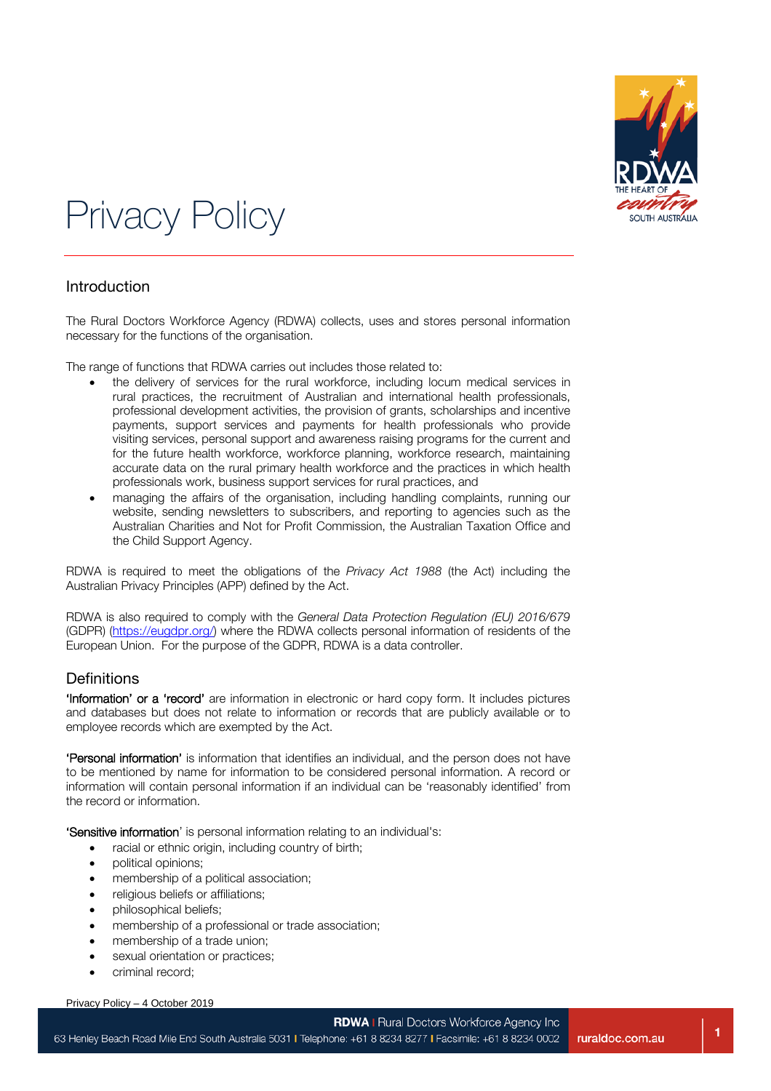

# Privacy Policy

#### Introduction

The Rural Doctors Workforce Agency (RDWA) collects, uses and stores personal information necessary for the functions of the organisation.

The range of functions that RDWA carries out includes those related to:

- the delivery of services for the rural workforce, including locum medical services in rural practices, the recruitment of Australian and international health professionals, professional development activities, the provision of grants, scholarships and incentive payments, support services and payments for health professionals who provide visiting services, personal support and awareness raising programs for the current and for the future health workforce, workforce planning, workforce research, maintaining accurate data on the rural primary health workforce and the practices in which health professionals work, business support services for rural practices, and
- managing the affairs of the organisation, including handling complaints, running our website, sending newsletters to subscribers, and reporting to agencies such as the Australian Charities and Not for Profit Commission, the Australian Taxation Office and the Child Support Agency.

RDWA is required to meet the obligations of the *Privacy Act 1988* (the Act) including the Australian Privacy Principles (APP) defined by the Act.

RDWA is also required to comply with the *General Data Protection Regulation (EU) 2016/679* (GDPR) [\(https://eugdpr.org/\)](https://eugdpr.org/) where the RDWA collects personal information of residents of the European Union. For the purpose of the GDPR, RDWA is a data controller.

#### **Definitions**

'Information' or a 'record' are information in electronic or hard copy form. It includes pictures and databases but does not relate to information or records that are publicly available or to employee records which are exempted by the Act.

'Personal information' is information that identifies an individual, and the person does not have to be mentioned by name for information to be considered personal information. A record or information will contain personal information if an individual can be 'reasonably identified' from the record or information.

'Sensitive information' is personal information relating to an individual's:

- racial or ethnic origin, including country of birth;
- political opinions;
- membership of a political association;
- religious beliefs or affiliations;
- philosophical beliefs;
- membership of a professional or trade association;
- membership of a trade union;
- sexual orientation or practices;
- criminal record:

Privacy Policy – 4 October 2019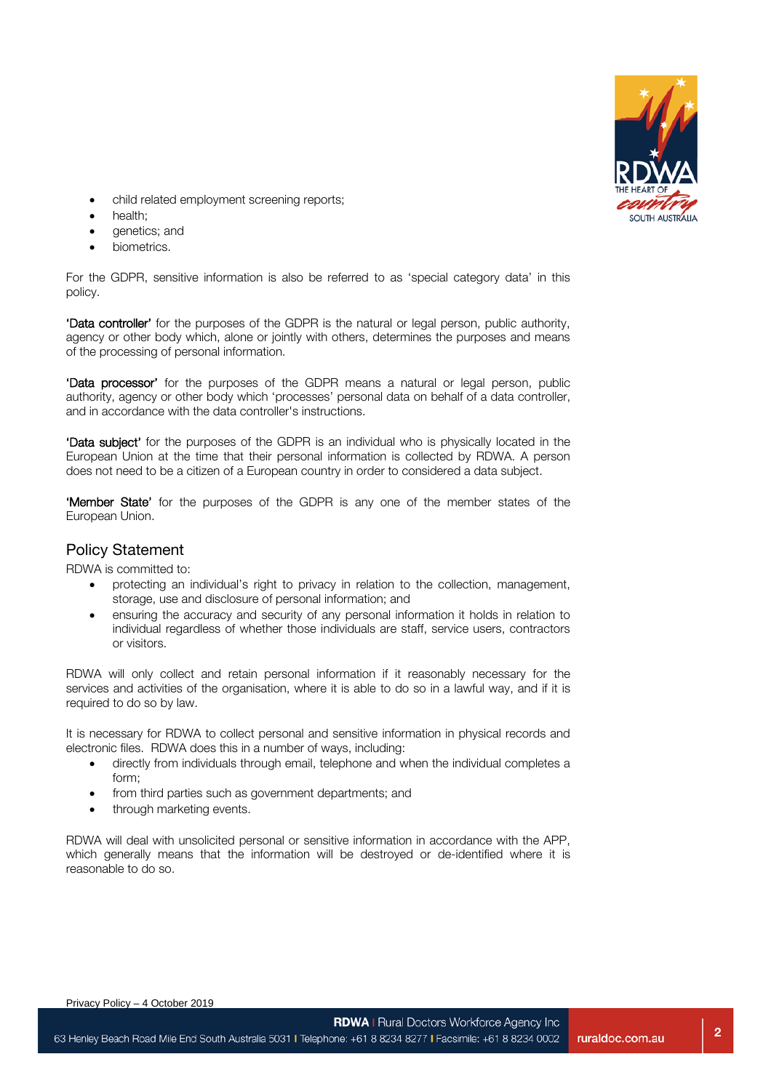

- child related employment screening reports;
- health;
- genetics; and
- biometrics.

For the GDPR, sensitive information is also be referred to as 'special category data' in this policy.

'Data controller' for the purposes of the GDPR is the natural or legal person, public authority, agency or other body which, alone or jointly with others, determines the purposes and means of the processing of personal information.

'Data processor' for the purposes of the GDPR means a natural or legal person, public authority, agency or other body which 'processes' personal data on behalf of a data controller, and in accordance with the data controller's instructions.

'Data subject' for the purposes of the GDPR is an individual who is physically located in the European Union at the time that their personal information is collected by RDWA. A person does not need to be a citizen of a European country in order to considered a data subject.

'Member State' for the purposes of the GDPR is any one of the member states of the European Union.

#### Policy Statement

RDWA is committed to:

- protecting an individual's right to privacy in relation to the collection, management, storage, use and disclosure of personal information; and
- ensuring the accuracy and security of any personal information it holds in relation to individual regardless of whether those individuals are staff, service users, contractors or visitors.

RDWA will only collect and retain personal information if it reasonably necessary for the services and activities of the organisation, where it is able to do so in a lawful way, and if it is required to do so by law.

It is necessary for RDWA to collect personal and sensitive information in physical records and electronic files. RDWA does this in a number of ways, including:

- directly from individuals through email, telephone and when the individual completes a form;
- from third parties such as government departments; and
- through marketing events.

RDWA will deal with unsolicited personal or sensitive information in accordance with the APP, which generally means that the information will be destroyed or de-identified where it is reasonable to do so.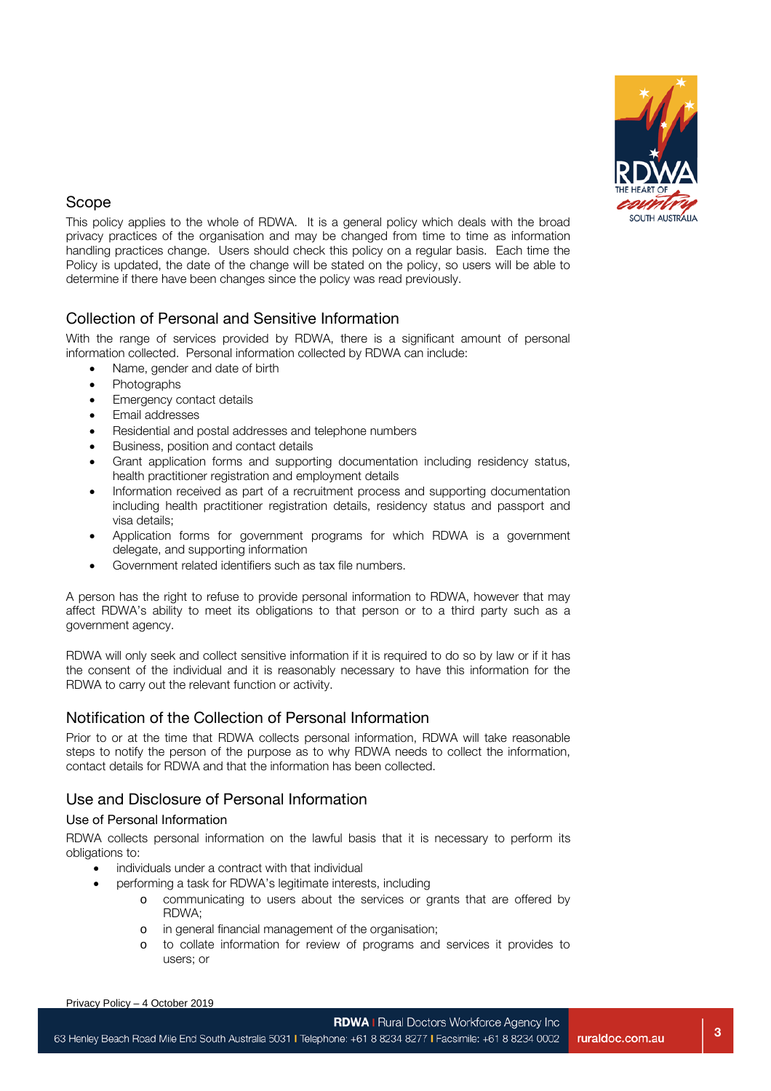

## Scope

This policy applies to the whole of RDWA. It is a general policy which deals with the broad privacy practices of the organisation and may be changed from time to time as information handling practices change. Users should check this policy on a regular basis. Each time the Policy is updated, the date of the change will be stated on the policy, so users will be able to determine if there have been changes since the policy was read previously.

## Collection of Personal and Sensitive Information

With the range of services provided by RDWA, there is a significant amount of personal information collected. Personal information collected by RDWA can include:

- Name, gender and date of birth
- Photographs
- **Emergency contact details**
- Email addresses
- Residential and postal addresses and telephone numbers
- Business, position and contact details
- Grant application forms and supporting documentation including residency status, health practitioner registration and employment details
- Information received as part of a recruitment process and supporting documentation including health practitioner registration details, residency status and passport and visa details;
- Application forms for government programs for which RDWA is a government delegate, and supporting information
- Government related identifiers such as tax file numbers.

A person has the right to refuse to provide personal information to RDWA, however that may affect RDWA's ability to meet its obligations to that person or to a third party such as a government agency.

RDWA will only seek and collect sensitive information if it is required to do so by law or if it has the consent of the individual and it is reasonably necessary to have this information for the RDWA to carry out the relevant function or activity.

# Notification of the Collection of Personal Information

Prior to or at the time that RDWA collects personal information, RDWA will take reasonable steps to notify the person of the purpose as to why RDWA needs to collect the information, contact details for RDWA and that the information has been collected.

# Use and Disclosure of Personal Information

#### Use of Personal Information

RDWA collects personal information on the lawful basis that it is necessary to perform its obligations to:

- individuals under a contract with that individual
	- performing a task for RDWA's legitimate interests, including
		- o communicating to users about the services or grants that are offered by RDWA;
			- o in general financial management of the organisation;
			- o to collate information for review of programs and services it provides to users; or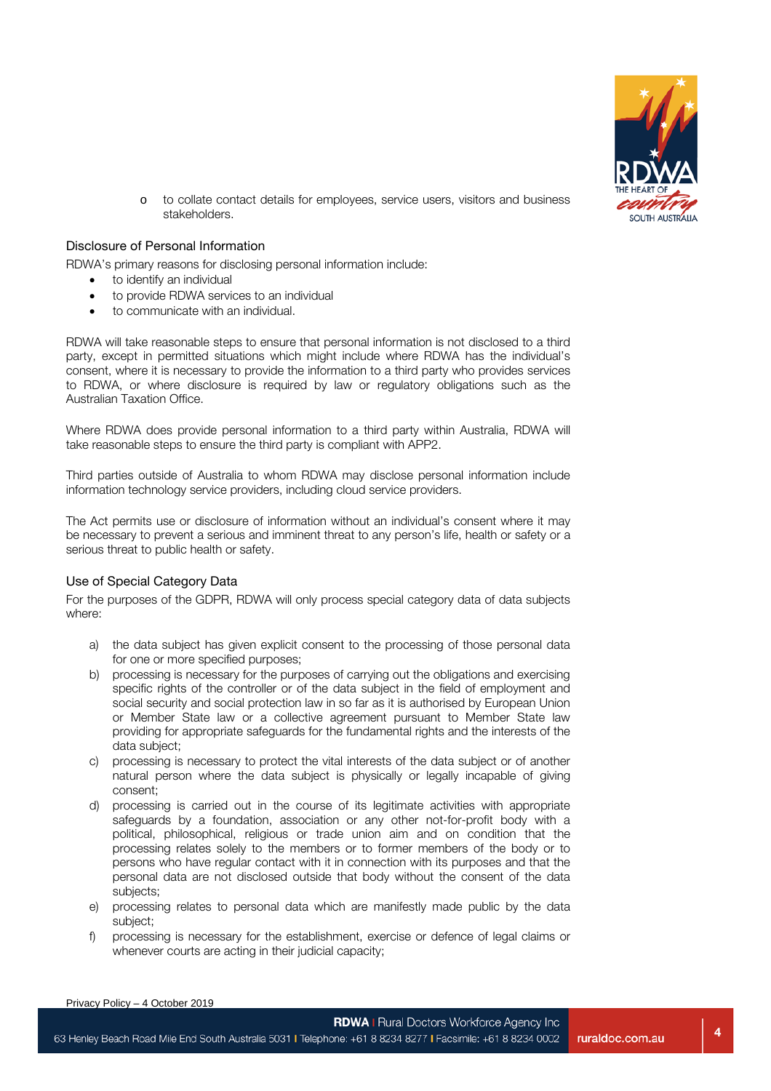

**4**

o to collate contact details for employees, service users, visitors and business stakeholders.

#### Disclosure of Personal Information

RDWA's primary reasons for disclosing personal information include:

- to identify an individual
- to provide RDWA services to an individual
- to communicate with an individual.

RDWA will take reasonable steps to ensure that personal information is not disclosed to a third party, except in permitted situations which might include where RDWA has the individual's consent, where it is necessary to provide the information to a third party who provides services to RDWA, or where disclosure is required by law or regulatory obligations such as the Australian Taxation Office.

Where RDWA does provide personal information to a third party within Australia, RDWA will take reasonable steps to ensure the third party is compliant with APP2.

Third parties outside of Australia to whom RDWA may disclose personal information include information technology service providers, including cloud service providers.

The Act permits use or disclosure of information without an individual's consent where it may be necessary to prevent a serious and imminent threat to any person's life, health or safety or a serious threat to public health or safety.

#### Use of Special Category Data

For the purposes of the GDPR, RDWA will only process special category data of data subjects where:

- a) the data subject has given explicit consent to the processing of those personal data for one or more specified purposes;
- b) processing is necessary for the purposes of carrying out the obligations and exercising specific rights of the controller or of the data subject in the field of employment and social security and social protection law in so far as it is authorised by European Union or Member State law or a collective agreement pursuant to Member State law providing for appropriate safeguards for the fundamental rights and the interests of the data subject;
- c) processing is necessary to protect the vital interests of the data subject or of another natural person where the data subject is physically or legally incapable of giving consent;
- d) processing is carried out in the course of its legitimate activities with appropriate safeguards by a foundation, association or any other not-for-profit body with a political, philosophical, religious or trade union aim and on condition that the processing relates solely to the members or to former members of the body or to persons who have regular contact with it in connection with its purposes and that the personal data are not disclosed outside that body without the consent of the data subjects;
- e) processing relates to personal data which are manifestly made public by the data subject;
- f) processing is necessary for the establishment, exercise or defence of legal claims or whenever courts are acting in their judicial capacity;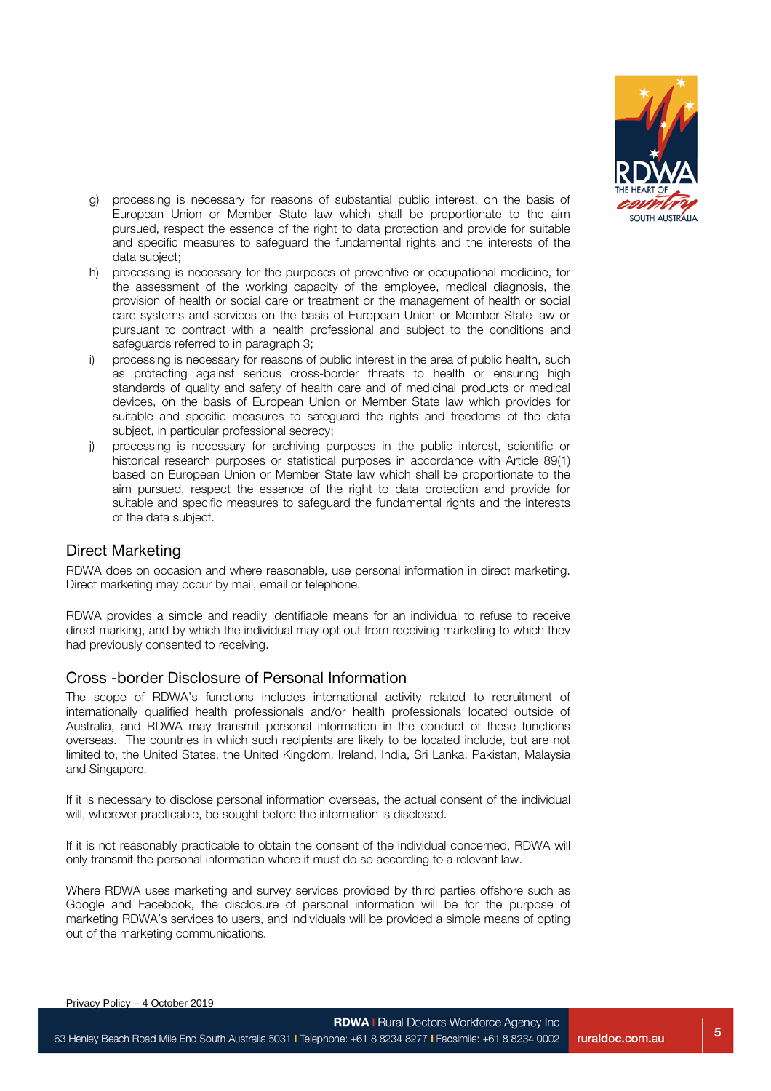

- g) processing is necessary for reasons of substantial public interest, on the basis of European Union or Member State law which shall be proportionate to the aim pursued, respect the essence of the right to data protection and provide for suitable and specific measures to safeguard the fundamental rights and the interests of the data subject;
- h) processing is necessary for the purposes of preventive or occupational medicine, for the assessment of the working capacity of the employee, medical diagnosis, the provision of health or social care or treatment or the management of health or social care systems and services on the basis of European Union or Member State law or pursuant to contract with a health professional and subject to the conditions and safeguards referred to in paragraph 3;
- i) processing is necessary for reasons of public interest in the area of public health, such as protecting against serious cross-border threats to health or ensuring high standards of quality and safety of health care and of medicinal products or medical devices, on the basis of European Union or Member State law which provides for suitable and specific measures to safeguard the rights and freedoms of the data subject, in particular professional secrecy;
- processing is necessary for archiving purposes in the public interest, scientific or historical research purposes or statistical purposes in accordance with Article 89(1) based on European Union or Member State law which shall be proportionate to the aim pursued, respect the essence of the right to data protection and provide for suitable and specific measures to safeguard the fundamental rights and the interests of the data subject.

#### Direct Marketing

RDWA does on occasion and where reasonable, use personal information in direct marketing. Direct marketing may occur by mail, email or telephone.

RDWA provides a simple and readily identifiable means for an individual to refuse to receive direct marking, and by which the individual may opt out from receiving marketing to which they had previously consented to receiving.

#### Cross -border Disclosure of Personal Information

The scope of RDWA's functions includes international activity related to recruitment of internationally qualified health professionals and/or health professionals located outside of Australia, and RDWA may transmit personal information in the conduct of these functions overseas. The countries in which such recipients are likely to be located include, but are not limited to, the United States, the United Kingdom, Ireland, India, Sri Lanka, Pakistan, Malaysia and Singapore.

If it is necessary to disclose personal information overseas, the actual consent of the individual will, wherever practicable, be sought before the information is disclosed.

If it is not reasonably practicable to obtain the consent of the individual concerned, RDWA will only transmit the personal information where it must do so according to a relevant law.

Where RDWA uses marketing and survey services provided by third parties offshore such as Google and Facebook, the disclosure of personal information will be for the purpose of marketing RDWA's services to users, and individuals will be provided a simple means of opting out of the marketing communications.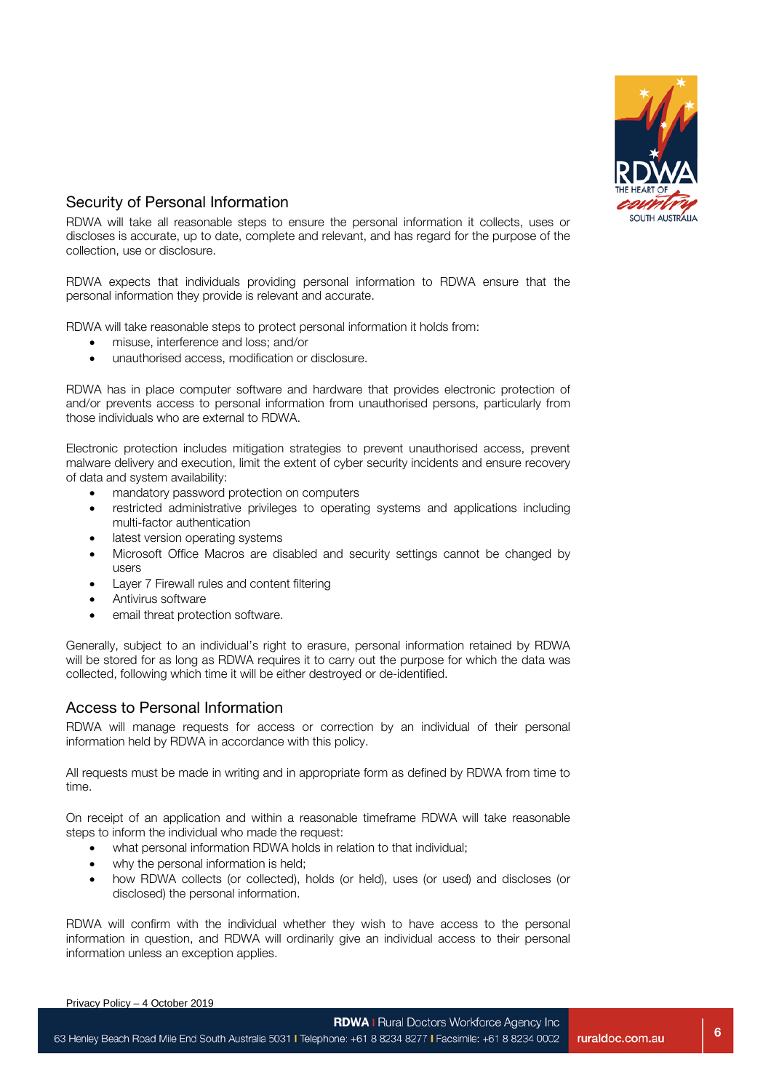

# Security of Personal Information

RDWA will take all reasonable steps to ensure the personal information it collects, uses or discloses is accurate, up to date, complete and relevant, and has regard for the purpose of the collection, use or disclosure.

RDWA expects that individuals providing personal information to RDWA ensure that the personal information they provide is relevant and accurate.

RDWA will take reasonable steps to protect personal information it holds from:

- misuse, interference and loss; and/or
- unauthorised access, modification or disclosure.

RDWA has in place computer software and hardware that provides electronic protection of and/or prevents access to personal information from unauthorised persons, particularly from those individuals who are external to RDWA.

Electronic protection includes mitigation strategies to prevent unauthorised access, prevent malware delivery and execution, limit the extent of cyber security incidents and ensure recovery of data and system availability:

- mandatory password protection on computers
- restricted administrative privileges to operating systems and applications including multi-factor authentication
- latest version operating systems
- Microsoft Office Macros are disabled and security settings cannot be changed by users
- Layer 7 Firewall rules and content filtering
- Antivirus software
- email threat protection software.

Generally, subject to an individual's right to erasure, personal information retained by RDWA will be stored for as long as RDWA requires it to carry out the purpose for which the data was collected, following which time it will be either destroyed or de-identified.

#### Access to Personal Information

RDWA will manage requests for access or correction by an individual of their personal information held by RDWA in accordance with this policy.

All requests must be made in writing and in appropriate form as defined by RDWA from time to time.

On receipt of an application and within a reasonable timeframe RDWA will take reasonable steps to inform the individual who made the request:

- what personal information RDWA holds in relation to that individual;
- why the personal information is held;
- how RDWA collects (or collected), holds (or held), uses (or used) and discloses (or disclosed) the personal information.

RDWA will confirm with the individual whether they wish to have access to the personal information in question, and RDWA will ordinarily give an individual access to their personal information unless an exception applies.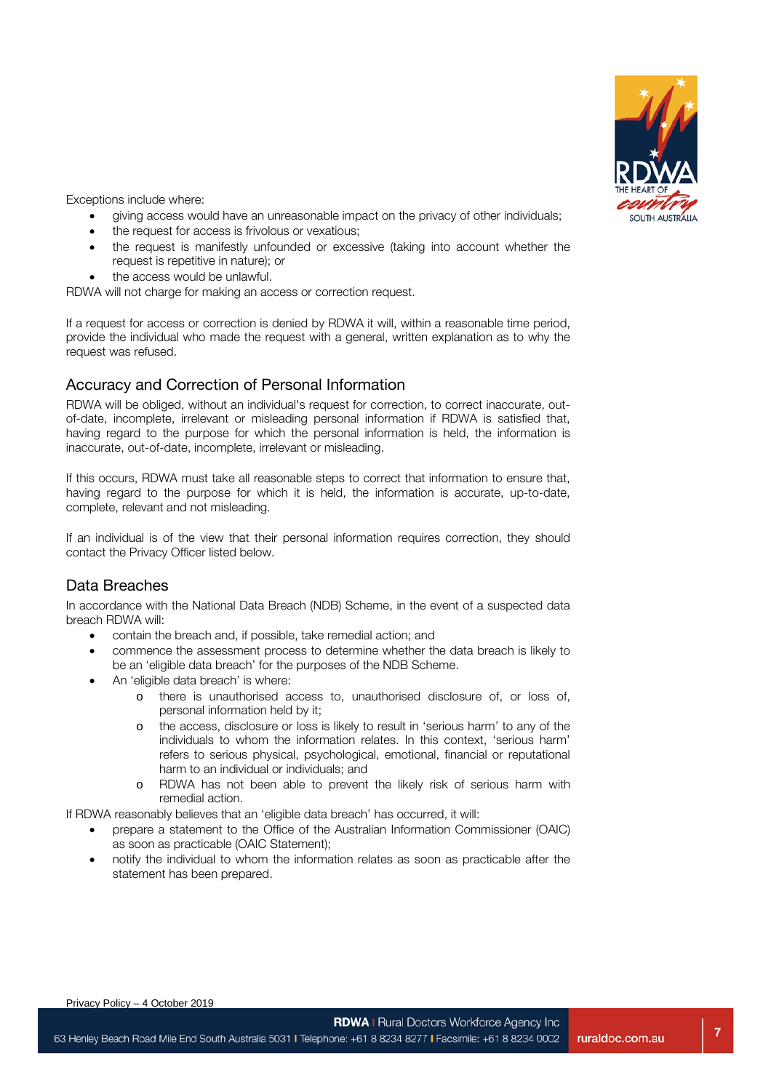

Exceptions include where:

- giving access would have an unreasonable impact on the privacy of other individuals;
- the request for access is frivolous or vexatious;
- the request is manifestly unfounded or excessive (taking into account whether the request is repetitive in nature); or
- the access would be unlawful.

RDWA will not charge for making an access or correction request.

If a request for access or correction is denied by RDWA it will, within a reasonable time period, provide the individual who made the request with a general, written explanation as to why the request was refused.

## Accuracy and Correction of Personal Information

RDWA will be obliged, without an individual's request for correction, to correct inaccurate, outof-date, incomplete, irrelevant or misleading personal information if RDWA is satisfied that, having regard to the purpose for which the personal information is held, the information is inaccurate, out-of-date, incomplete, irrelevant or misleading.

If this occurs, RDWA must take all reasonable steps to correct that information to ensure that, having regard to the purpose for which it is held, the information is accurate, up-to-date, complete, relevant and not misleading.

If an individual is of the view that their personal information requires correction, they should contact the Privacy Officer listed below.

# Data Breaches

In accordance with the National Data Breach (NDB) Scheme, in the event of a suspected data breach RDWA will:

- contain the breach and, if possible, take remedial action; and
- commence the assessment process to determine whether the data breach is likely to be an 'eligible data breach' for the purposes of the NDB Scheme.
- An 'eligible data breach' is where:
	- o there is unauthorised access to, unauthorised disclosure of, or loss of, personal information held by it;
	- o the access, disclosure or loss is likely to result in 'serious harm' to any of the individuals to whom the information relates. In this context, 'serious harm' refers to serious physical, psychological, emotional, financial or reputational harm to an individual or individuals; and
	- o RDWA has not been able to prevent the likely risk of serious harm with remedial action.

If RDWA reasonably believes that an 'eligible data breach' has occurred, it will:

- prepare a statement to the Office of the Australian Information Commissioner (OAIC) as soon as practicable (OAIC Statement);
- notify the individual to whom the information relates as soon as practicable after the statement has been prepared.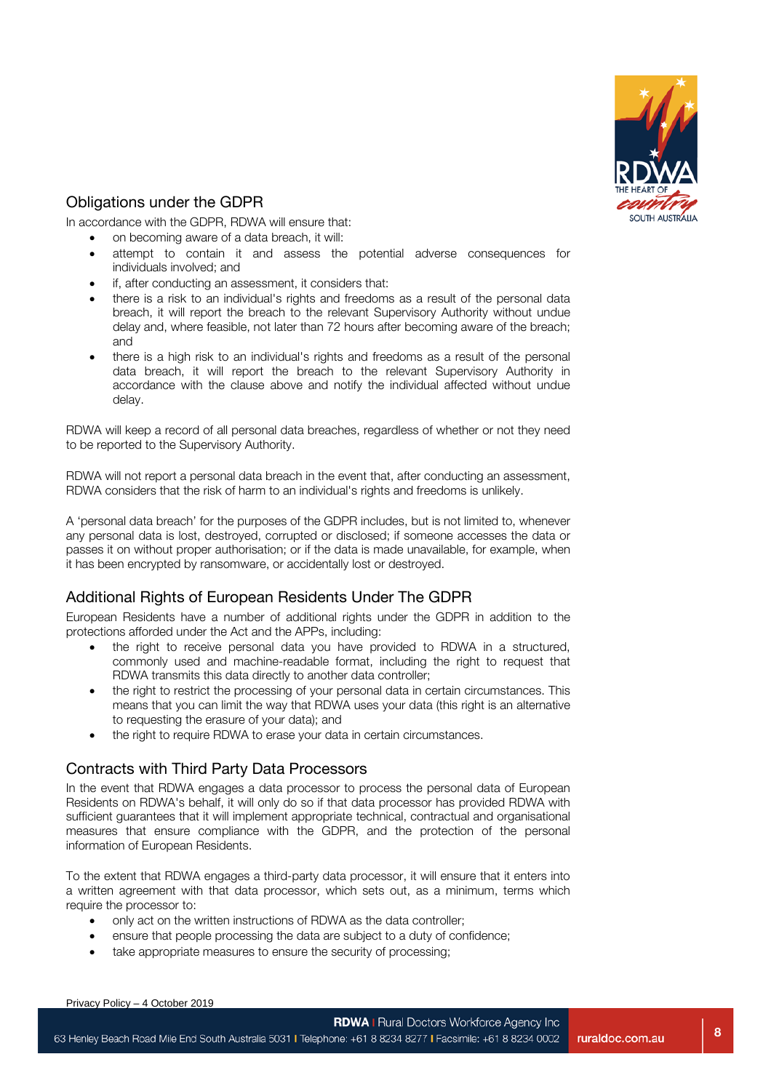

# Obligations under the GDPR

In accordance with the GDPR, RDWA will ensure that:

- on becoming aware of a data breach, it will:
- attempt to contain it and assess the potential adverse consequences for individuals involved; and
- if, after conducting an assessment, it considers that:
- there is a risk to an individual's rights and freedoms as a result of the personal data breach, it will report the breach to the relevant Supervisory Authority without undue delay and, where feasible, not later than 72 hours after becoming aware of the breach; and
- there is a high risk to an individual's rights and freedoms as a result of the personal data breach, it will report the breach to the relevant Supervisory Authority in accordance with the clause above and notify the individual affected without undue delay.

RDWA will keep a record of all personal data breaches, regardless of whether or not they need to be reported to the Supervisory Authority.

RDWA will not report a personal data breach in the event that, after conducting an assessment, RDWA considers that the risk of harm to an individual's rights and freedoms is unlikely.

A 'personal data breach' for the purposes of the GDPR includes, but is not limited to, whenever any personal data is lost, destroyed, corrupted or disclosed; if someone accesses the data or passes it on without proper authorisation; or if the data is made unavailable, for example, when it has been encrypted by ransomware, or accidentally lost or destroyed.

# Additional Rights of European Residents Under The GDPR

European Residents have a number of additional rights under the GDPR in addition to the protections afforded under the Act and the APPs, including:

- the right to receive personal data you have provided to RDWA in a structured, commonly used and machine-readable format, including the right to request that RDWA transmits this data directly to another data controller;
- the right to restrict the processing of your personal data in certain circumstances. This means that you can limit the way that RDWA uses your data (this right is an alternative to requesting the erasure of your data); and
- the right to require RDWA to erase your data in certain circumstances.

#### Contracts with Third Party Data Processors

In the event that RDWA engages a data processor to process the personal data of European Residents on RDWA's behalf, it will only do so if that data processor has provided RDWA with sufficient guarantees that it will implement appropriate technical, contractual and organisational measures that ensure compliance with the GDPR, and the protection of the personal information of European Residents.

To the extent that RDWA engages a third-party data processor, it will ensure that it enters into a written agreement with that data processor, which sets out, as a minimum, terms which require the processor to:

- only act on the written instructions of RDWA as the data controller;
- ensure that people processing the data are subject to a duty of confidence;
- take appropriate measures to ensure the security of processing;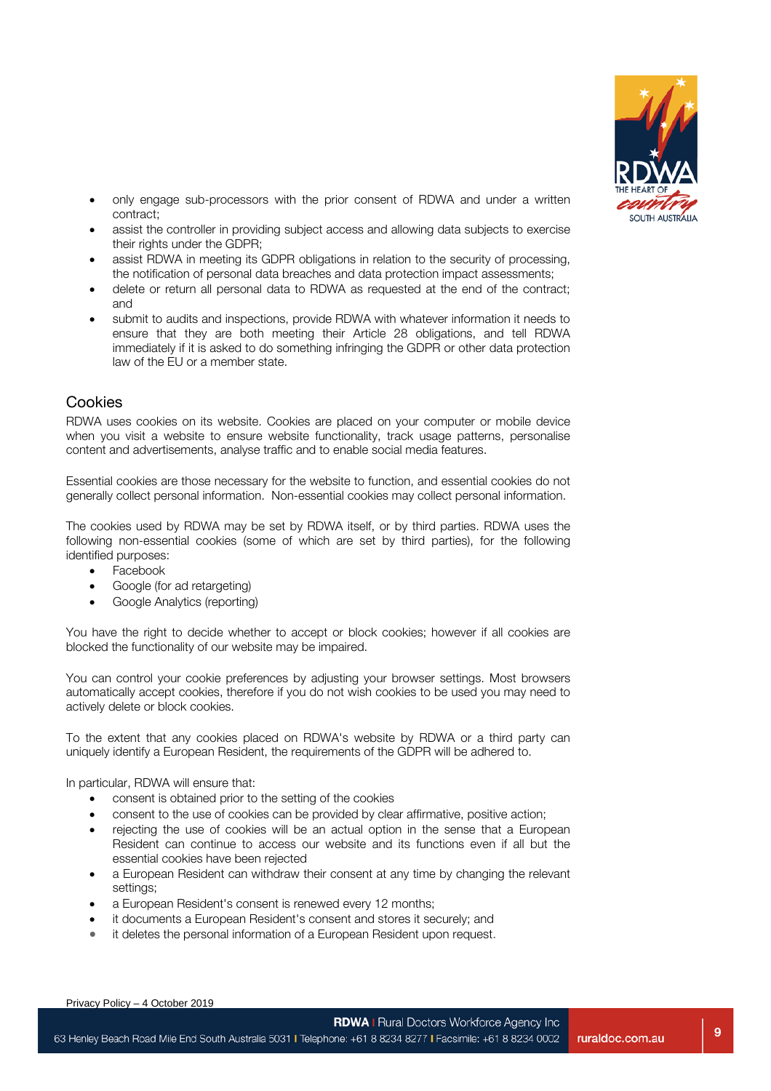

- only engage sub-processors with the prior consent of RDWA and under a written contract;
- assist the controller in providing subject access and allowing data subjects to exercise their rights under the GDPR;
- assist RDWA in meeting its GDPR obligations in relation to the security of processing, the notification of personal data breaches and data protection impact assessments;
- delete or return all personal data to RDWA as requested at the end of the contract; and
- submit to audits and inspections, provide RDWA with whatever information it needs to ensure that they are both meeting their Article 28 obligations, and tell RDWA immediately if it is asked to do something infringing the GDPR or other data protection law of the EU or a member state.

## Cookies

RDWA uses cookies on its website. Cookies are placed on your computer or mobile device when you visit a website to ensure website functionality, track usage patterns, personalise content and advertisements, analyse traffic and to enable social media features.

Essential cookies are those necessary for the website to function, and essential cookies do not generally collect personal information. Non-essential cookies may collect personal information.

The cookies used by RDWA may be set by RDWA itself, or by third parties. RDWA uses the following non-essential cookies (some of which are set by third parties), for the following identified purposes:

- Facebook
- Google (for ad retargeting)
- Google Analytics (reporting)

You have the right to decide whether to accept or block cookies; however if all cookies are blocked the functionality of our website may be impaired.

You can control your cookie preferences by adjusting your browser settings. Most browsers automatically accept cookies, therefore if you do not wish cookies to be used you may need to actively delete or block cookies.

To the extent that any cookies placed on RDWA's website by RDWA or a third party can uniquely identify a European Resident, the requirements of the GDPR will be adhered to.

In particular, RDWA will ensure that:

- consent is obtained prior to the setting of the cookies
- consent to the use of cookies can be provided by clear affirmative, positive action;
- rejecting the use of cookies will be an actual option in the sense that a European Resident can continue to access our website and its functions even if all but the essential cookies have been rejected
- a European Resident can withdraw their consent at any time by changing the relevant settings;
- a European Resident's consent is renewed every 12 months;
- it documents a European Resident's consent and stores it securely; and
- it deletes the personal information of a European Resident upon request.